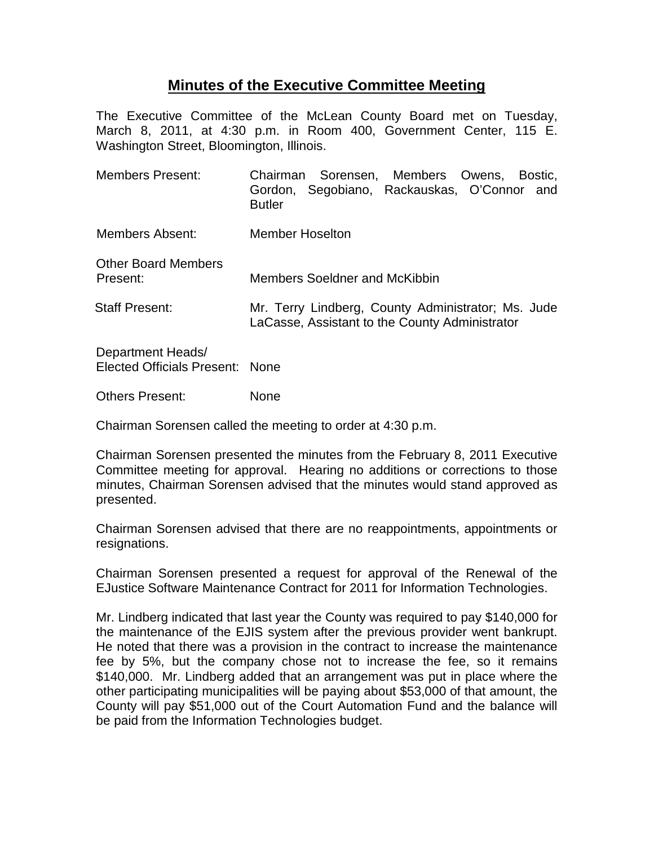## **Minutes of the Executive Committee Meeting**

The Executive Committee of the McLean County Board met on Tuesday, March 8, 2011, at 4:30 p.m. in Room 400, Government Center, 115 E. Washington Street, Bloomington, Illinois.

| <b>Members Present:</b>                              | Chairman Sorensen, Members Owens, Bostic,<br>Gordon, Segobiano, Rackauskas, O'Connor and<br><b>Butler</b> |
|------------------------------------------------------|-----------------------------------------------------------------------------------------------------------|
| Members Absent:                                      | <b>Member Hoselton</b>                                                                                    |
| <b>Other Board Members</b><br>Present:               | Members Soeldner and McKibbin                                                                             |
| <b>Staff Present:</b>                                | Mr. Terry Lindberg, County Administrator; Ms. Jude<br>LaCasse, Assistant to the County Administrator      |
| Department Heads/<br>Elected Officials Present: None |                                                                                                           |

Others Present: None

Chairman Sorensen called the meeting to order at 4:30 p.m.

Chairman Sorensen presented the minutes from the February 8, 2011 Executive Committee meeting for approval. Hearing no additions or corrections to those minutes, Chairman Sorensen advised that the minutes would stand approved as presented.

Chairman Sorensen advised that there are no reappointments, appointments or resignations.

Chairman Sorensen presented a request for approval of the Renewal of the EJustice Software Maintenance Contract for 2011 for Information Technologies.

Mr. Lindberg indicated that last year the County was required to pay \$140,000 for the maintenance of the EJIS system after the previous provider went bankrupt. He noted that there was a provision in the contract to increase the maintenance fee by 5%, but the company chose not to increase the fee, so it remains \$140,000. Mr. Lindberg added that an arrangement was put in place where the other participating municipalities will be paying about \$53,000 of that amount, the County will pay \$51,000 out of the Court Automation Fund and the balance will be paid from the Information Technologies budget.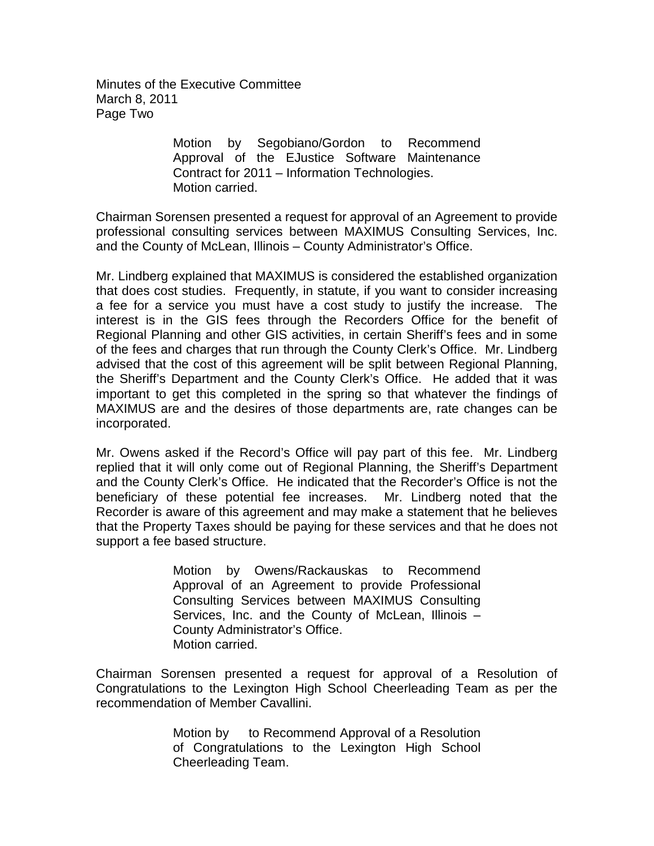Minutes of the Executive Committee March 8, 2011 Page Two

> Motion by Segobiano/Gordon to Recommend Approval of the EJustice Software Maintenance Contract for 2011 – Information Technologies. Motion carried.

Chairman Sorensen presented a request for approval of an Agreement to provide professional consulting services between MAXIMUS Consulting Services, Inc. and the County of McLean, Illinois – County Administrator's Office.

Mr. Lindberg explained that MAXIMUS is considered the established organization that does cost studies. Frequently, in statute, if you want to consider increasing a fee for a service you must have a cost study to justify the increase. The interest is in the GIS fees through the Recorders Office for the benefit of Regional Planning and other GIS activities, in certain Sheriff's fees and in some of the fees and charges that run through the County Clerk's Office. Mr. Lindberg advised that the cost of this agreement will be split between Regional Planning, the Sheriff's Department and the County Clerk's Office. He added that it was important to get this completed in the spring so that whatever the findings of MAXIMUS are and the desires of those departments are, rate changes can be incorporated.

Mr. Owens asked if the Record's Office will pay part of this fee. Mr. Lindberg replied that it will only come out of Regional Planning, the Sheriff's Department and the County Clerk's Office. He indicated that the Recorder's Office is not the beneficiary of these potential fee increases. Mr. Lindberg noted that the Recorder is aware of this agreement and may make a statement that he believes that the Property Taxes should be paying for these services and that he does not support a fee based structure.

> Motion by Owens/Rackauskas to Recommend Approval of an Agreement to provide Professional Consulting Services between MAXIMUS Consulting Services, Inc. and the County of McLean, Illinois – County Administrator's Office. Motion carried.

Chairman Sorensen presented a request for approval of a Resolution of Congratulations to the Lexington High School Cheerleading Team as per the recommendation of Member Cavallini.

> Motion by to Recommend Approval of a Resolution of Congratulations to the Lexington High School Cheerleading Team.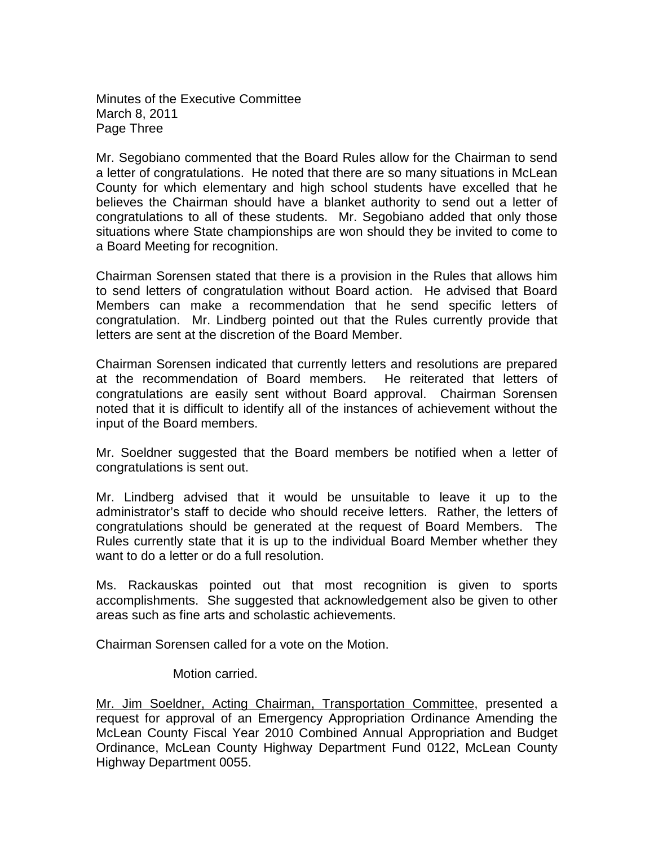Minutes of the Executive Committee March 8, 2011 Page Three

Mr. Segobiano commented that the Board Rules allow for the Chairman to send a letter of congratulations. He noted that there are so many situations in McLean County for which elementary and high school students have excelled that he believes the Chairman should have a blanket authority to send out a letter of congratulations to all of these students. Mr. Segobiano added that only those situations where State championships are won should they be invited to come to a Board Meeting for recognition.

Chairman Sorensen stated that there is a provision in the Rules that allows him to send letters of congratulation without Board action. He advised that Board Members can make a recommendation that he send specific letters of congratulation. Mr. Lindberg pointed out that the Rules currently provide that letters are sent at the discretion of the Board Member.

Chairman Sorensen indicated that currently letters and resolutions are prepared at the recommendation of Board members. He reiterated that letters of congratulations are easily sent without Board approval. Chairman Sorensen noted that it is difficult to identify all of the instances of achievement without the input of the Board members.

Mr. Soeldner suggested that the Board members be notified when a letter of congratulations is sent out.

Mr. Lindberg advised that it would be unsuitable to leave it up to the administrator's staff to decide who should receive letters. Rather, the letters of congratulations should be generated at the request of Board Members. The Rules currently state that it is up to the individual Board Member whether they want to do a letter or do a full resolution.

Ms. Rackauskas pointed out that most recognition is given to sports accomplishments. She suggested that acknowledgement also be given to other areas such as fine arts and scholastic achievements.

Chairman Sorensen called for a vote on the Motion.

## Motion carried.

Mr. Jim Soeldner, Acting Chairman, Transportation Committee, presented a request for approval of an Emergency Appropriation Ordinance Amending the McLean County Fiscal Year 2010 Combined Annual Appropriation and Budget Ordinance, McLean County Highway Department Fund 0122, McLean County Highway Department 0055.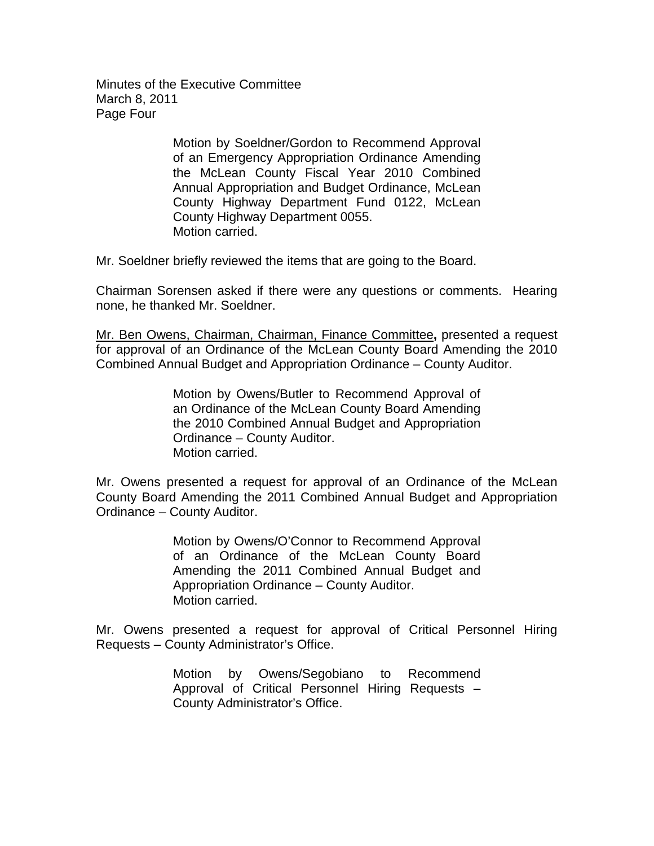Minutes of the Executive Committee March 8, 2011 Page Four

> Motion by Soeldner/Gordon to Recommend Approval of an Emergency Appropriation Ordinance Amending the McLean County Fiscal Year 2010 Combined Annual Appropriation and Budget Ordinance, McLean County Highway Department Fund 0122, McLean County Highway Department 0055. Motion carried.

Mr. Soeldner briefly reviewed the items that are going to the Board.

Chairman Sorensen asked if there were any questions or comments. Hearing none, he thanked Mr. Soeldner.

Mr. Ben Owens, Chairman, Chairman, Finance Committee**,** presented a request for approval of an Ordinance of the McLean County Board Amending the 2010 Combined Annual Budget and Appropriation Ordinance – County Auditor.

> Motion by Owens/Butler to Recommend Approval of an Ordinance of the McLean County Board Amending the 2010 Combined Annual Budget and Appropriation Ordinance – County Auditor. Motion carried.

Mr. Owens presented a request for approval of an Ordinance of the McLean County Board Amending the 2011 Combined Annual Budget and Appropriation Ordinance – County Auditor.

> Motion by Owens/O'Connor to Recommend Approval of an Ordinance of the McLean County Board Amending the 2011 Combined Annual Budget and Appropriation Ordinance – County Auditor. Motion carried.

Mr. Owens presented a request for approval of Critical Personnel Hiring Requests – County Administrator's Office.

> Motion by Owens/Segobiano to Recommend Approval of Critical Personnel Hiring Requests – County Administrator's Office.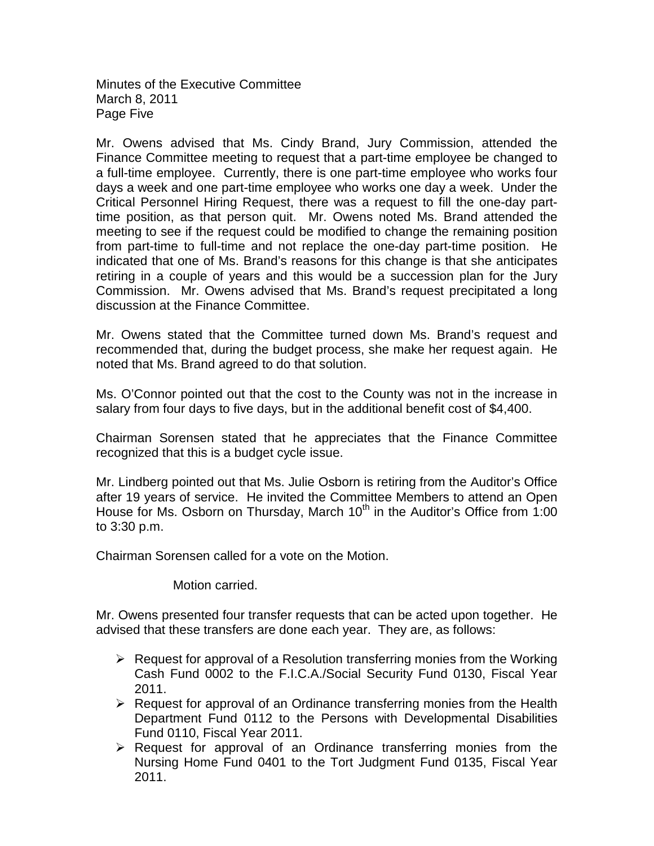Minutes of the Executive Committee March 8, 2011 Page Five

Mr. Owens advised that Ms. Cindy Brand, Jury Commission, attended the Finance Committee meeting to request that a part-time employee be changed to a full-time employee. Currently, there is one part-time employee who works four days a week and one part-time employee who works one day a week. Under the Critical Personnel Hiring Request, there was a request to fill the one-day parttime position, as that person quit. Mr. Owens noted Ms. Brand attended the meeting to see if the request could be modified to change the remaining position from part-time to full-time and not replace the one-day part-time position. He indicated that one of Ms. Brand's reasons for this change is that she anticipates retiring in a couple of years and this would be a succession plan for the Jury Commission. Mr. Owens advised that Ms. Brand's request precipitated a long discussion at the Finance Committee.

Mr. Owens stated that the Committee turned down Ms. Brand's request and recommended that, during the budget process, she make her request again. He noted that Ms. Brand agreed to do that solution.

Ms. O'Connor pointed out that the cost to the County was not in the increase in salary from four days to five days, but in the additional benefit cost of \$4,400.

Chairman Sorensen stated that he appreciates that the Finance Committee recognized that this is a budget cycle issue.

Mr. Lindberg pointed out that Ms. Julie Osborn is retiring from the Auditor's Office after 19 years of service. He invited the Committee Members to attend an Open House for Ms. Osborn on Thursday, March  $10<sup>th</sup>$  in the Auditor's Office from 1:00 to 3:30 p.m.

Chairman Sorensen called for a vote on the Motion.

Motion carried.

Mr. Owens presented four transfer requests that can be acted upon together. He advised that these transfers are done each year. They are, as follows:

- $\triangleright$  Request for approval of a Resolution transferring monies from the Working Cash Fund 0002 to the F.I.C.A./Social Security Fund 0130, Fiscal Year 2011.
- $\triangleright$  Request for approval of an Ordinance transferring monies from the Health Department Fund 0112 to the Persons with Developmental Disabilities Fund 0110, Fiscal Year 2011.
- $\triangleright$  Request for approval of an Ordinance transferring monies from the Nursing Home Fund 0401 to the Tort Judgment Fund 0135, Fiscal Year 2011.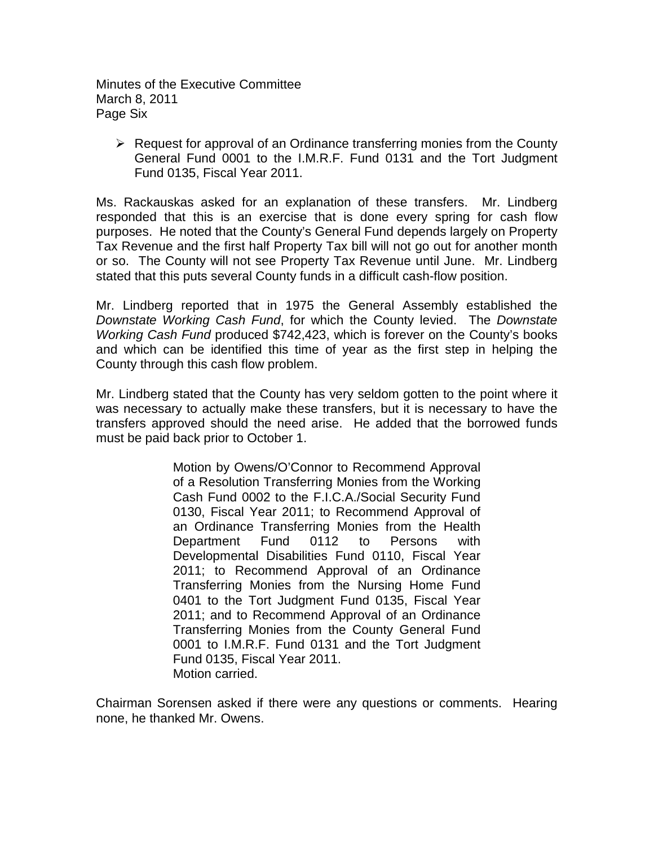Minutes of the Executive Committee March 8, 2011 Page Six

 $\triangleright$  Request for approval of an Ordinance transferring monies from the County General Fund 0001 to the I.M.R.F. Fund 0131 and the Tort Judgment Fund 0135, Fiscal Year 2011.

Ms. Rackauskas asked for an explanation of these transfers. Mr. Lindberg responded that this is an exercise that is done every spring for cash flow purposes. He noted that the County's General Fund depends largely on Property Tax Revenue and the first half Property Tax bill will not go out for another month or so. The County will not see Property Tax Revenue until June. Mr. Lindberg stated that this puts several County funds in a difficult cash-flow position.

Mr. Lindberg reported that in 1975 the General Assembly established the *Downstate Working Cash Fund*, for which the County levied. The *Downstate Working Cash Fund* produced \$742,423, which is forever on the County's books and which can be identified this time of year as the first step in helping the County through this cash flow problem.

Mr. Lindberg stated that the County has very seldom gotten to the point where it was necessary to actually make these transfers, but it is necessary to have the transfers approved should the need arise. He added that the borrowed funds must be paid back prior to October 1.

> Motion by Owens/O'Connor to Recommend Approval of a Resolution Transferring Monies from the Working Cash Fund 0002 to the F.I.C.A./Social Security Fund 0130, Fiscal Year 2011; to Recommend Approval of an Ordinance Transferring Monies from the Health Department Fund 0112 to Persons with Developmental Disabilities Fund 0110, Fiscal Year 2011; to Recommend Approval of an Ordinance Transferring Monies from the Nursing Home Fund 0401 to the Tort Judgment Fund 0135, Fiscal Year 2011; and to Recommend Approval of an Ordinance Transferring Monies from the County General Fund 0001 to I.M.R.F. Fund 0131 and the Tort Judgment Fund 0135, Fiscal Year 2011. Motion carried.

Chairman Sorensen asked if there were any questions or comments. Hearing none, he thanked Mr. Owens.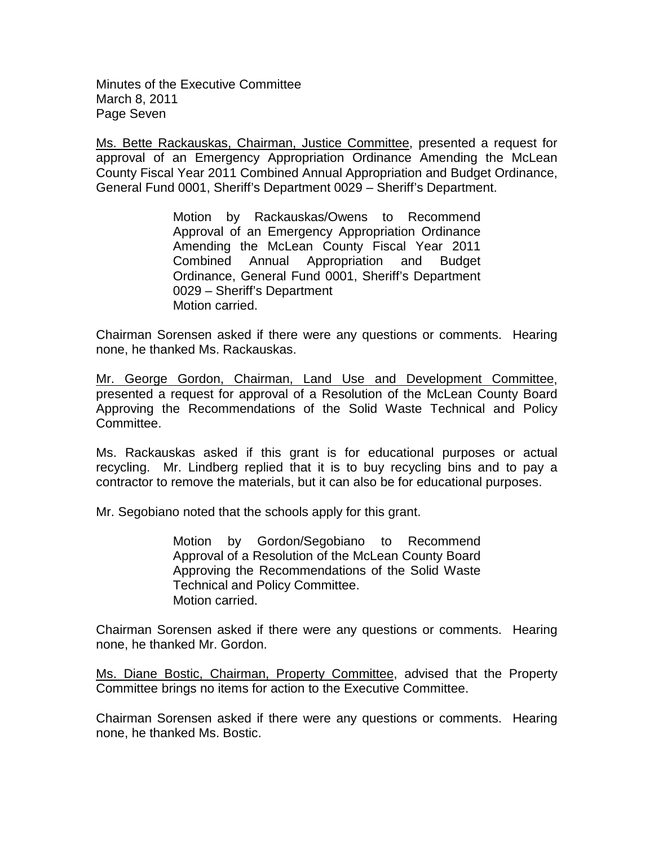Minutes of the Executive Committee March 8, 2011 Page Seven

Ms. Bette Rackauskas, Chairman, Justice Committee, presented a request for approval of an Emergency Appropriation Ordinance Amending the McLean County Fiscal Year 2011 Combined Annual Appropriation and Budget Ordinance, General Fund 0001, Sheriff's Department 0029 – Sheriff's Department.

> Motion by Rackauskas/Owens to Recommend Approval of an Emergency Appropriation Ordinance Amending the McLean County Fiscal Year 2011 Combined Annual Appropriation and Budget Ordinance, General Fund 0001, Sheriff's Department 0029 – Sheriff's Department Motion carried.

Chairman Sorensen asked if there were any questions or comments. Hearing none, he thanked Ms. Rackauskas.

Mr. George Gordon, Chairman, Land Use and Development Committee, presented a request for approval of a Resolution of the McLean County Board Approving the Recommendations of the Solid Waste Technical and Policy Committee.

Ms. Rackauskas asked if this grant is for educational purposes or actual recycling. Mr. Lindberg replied that it is to buy recycling bins and to pay a contractor to remove the materials, but it can also be for educational purposes.

Mr. Segobiano noted that the schools apply for this grant.

Motion by Gordon/Segobiano to Recommend Approval of a Resolution of the McLean County Board Approving the Recommendations of the Solid Waste Technical and Policy Committee. Motion carried.

Chairman Sorensen asked if there were any questions or comments. Hearing none, he thanked Mr. Gordon.

Ms. Diane Bostic, Chairman, Property Committee, advised that the Property Committee brings no items for action to the Executive Committee.

Chairman Sorensen asked if there were any questions or comments. Hearing none, he thanked Ms. Bostic.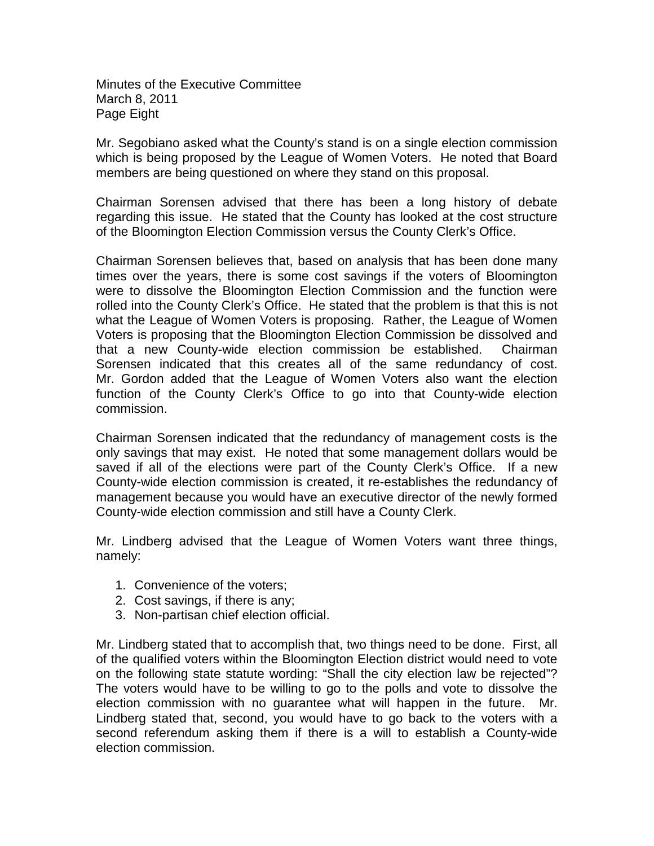Minutes of the Executive Committee March 8, 2011 Page Eight

Mr. Segobiano asked what the County's stand is on a single election commission which is being proposed by the League of Women Voters. He noted that Board members are being questioned on where they stand on this proposal.

Chairman Sorensen advised that there has been a long history of debate regarding this issue. He stated that the County has looked at the cost structure of the Bloomington Election Commission versus the County Clerk's Office.

Chairman Sorensen believes that, based on analysis that has been done many times over the years, there is some cost savings if the voters of Bloomington were to dissolve the Bloomington Election Commission and the function were rolled into the County Clerk's Office. He stated that the problem is that this is not what the League of Women Voters is proposing. Rather, the League of Women Voters is proposing that the Bloomington Election Commission be dissolved and that a new County-wide election commission be established. Chairman Sorensen indicated that this creates all of the same redundancy of cost. Mr. Gordon added that the League of Women Voters also want the election function of the County Clerk's Office to go into that County-wide election commission.

Chairman Sorensen indicated that the redundancy of management costs is the only savings that may exist. He noted that some management dollars would be saved if all of the elections were part of the County Clerk's Office. If a new County-wide election commission is created, it re-establishes the redundancy of management because you would have an executive director of the newly formed County-wide election commission and still have a County Clerk.

Mr. Lindberg advised that the League of Women Voters want three things, namely:

- 1. Convenience of the voters;
- 2. Cost savings, if there is any;
- 3. Non-partisan chief election official.

Mr. Lindberg stated that to accomplish that, two things need to be done. First, all of the qualified voters within the Bloomington Election district would need to vote on the following state statute wording: "Shall the city election law be rejected"? The voters would have to be willing to go to the polls and vote to dissolve the election commission with no guarantee what will happen in the future. Mr. Lindberg stated that, second, you would have to go back to the voters with a second referendum asking them if there is a will to establish a County-wide election commission.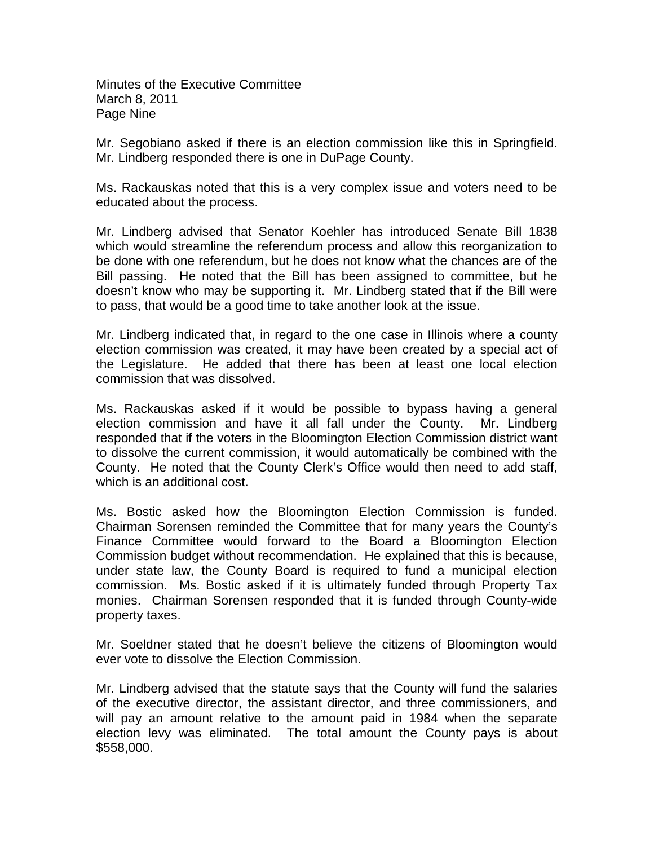Minutes of the Executive Committee March 8, 2011 Page Nine

Mr. Segobiano asked if there is an election commission like this in Springfield. Mr. Lindberg responded there is one in DuPage County.

Ms. Rackauskas noted that this is a very complex issue and voters need to be educated about the process.

Mr. Lindberg advised that Senator Koehler has introduced Senate Bill 1838 which would streamline the referendum process and allow this reorganization to be done with one referendum, but he does not know what the chances are of the Bill passing. He noted that the Bill has been assigned to committee, but he doesn't know who may be supporting it. Mr. Lindberg stated that if the Bill were to pass, that would be a good time to take another look at the issue.

Mr. Lindberg indicated that, in regard to the one case in Illinois where a county election commission was created, it may have been created by a special act of the Legislature. He added that there has been at least one local election commission that was dissolved.

Ms. Rackauskas asked if it would be possible to bypass having a general election commission and have it all fall under the County. Mr. Lindberg responded that if the voters in the Bloomington Election Commission district want to dissolve the current commission, it would automatically be combined with the County. He noted that the County Clerk's Office would then need to add staff, which is an additional cost.

Ms. Bostic asked how the Bloomington Election Commission is funded. Chairman Sorensen reminded the Committee that for many years the County's Finance Committee would forward to the Board a Bloomington Election Commission budget without recommendation. He explained that this is because, under state law, the County Board is required to fund a municipal election commission. Ms. Bostic asked if it is ultimately funded through Property Tax monies. Chairman Sorensen responded that it is funded through County-wide property taxes.

Mr. Soeldner stated that he doesn't believe the citizens of Bloomington would ever vote to dissolve the Election Commission.

Mr. Lindberg advised that the statute says that the County will fund the salaries of the executive director, the assistant director, and three commissioners, and will pay an amount relative to the amount paid in 1984 when the separate election levy was eliminated. The total amount the County pays is about \$558,000.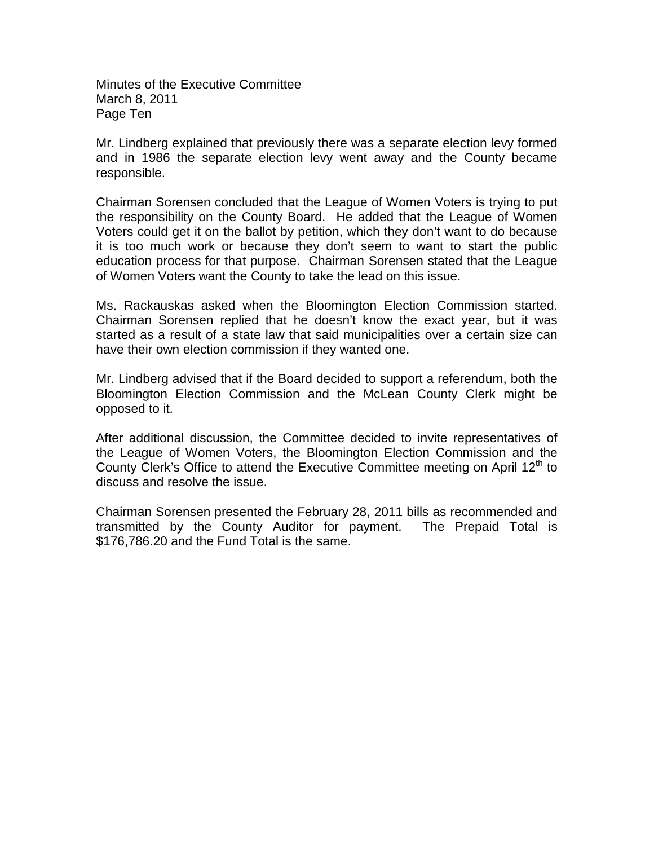Minutes of the Executive Committee March 8, 2011 Page Ten

Mr. Lindberg explained that previously there was a separate election levy formed and in 1986 the separate election levy went away and the County became responsible.

Chairman Sorensen concluded that the League of Women Voters is trying to put the responsibility on the County Board. He added that the League of Women Voters could get it on the ballot by petition, which they don't want to do because it is too much work or because they don't seem to want to start the public education process for that purpose. Chairman Sorensen stated that the League of Women Voters want the County to take the lead on this issue.

Ms. Rackauskas asked when the Bloomington Election Commission started. Chairman Sorensen replied that he doesn't know the exact year, but it was started as a result of a state law that said municipalities over a certain size can have their own election commission if they wanted one.

Mr. Lindberg advised that if the Board decided to support a referendum, both the Bloomington Election Commission and the McLean County Clerk might be opposed to it.

After additional discussion, the Committee decided to invite representatives of the League of Women Voters, the Bloomington Election Commission and the County Clerk's Office to attend the Executive Committee meeting on April  $12<sup>th</sup>$  to discuss and resolve the issue.

Chairman Sorensen presented the February 28, 2011 bills as recommended and transmitted by the County Auditor for payment. The Prepaid Total is \$176,786.20 and the Fund Total is the same.